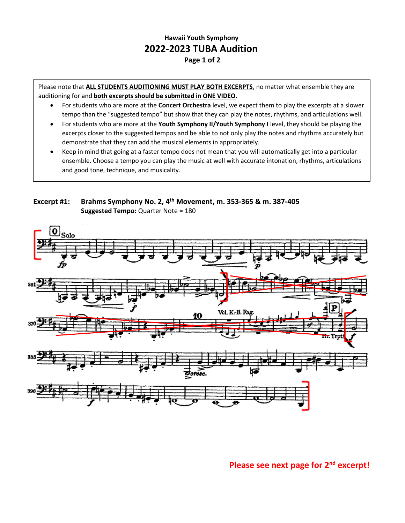## **Hawaii Youth Symphony 2022-2023 TUBA Audition Page 1 of 2**

Please note that **ALL STUDENTS AUDITIONING MUST PLAY BOTH EXCERPTS**, no matter what ensemble they are auditioning for and **both excerpts should be submitted in ONE VIDEO**.

- For students who are more at the **Concert Orchestra** level, we expect them to play the excerpts at a slower tempo than the "suggested tempo" but show that they can play the notes, rhythms, and articulations well.
- For students who are more at the **Youth Symphony II/Youth Symphony I** level, they should be playing the excerpts closer to the suggested tempos and be able to not only play the notes and rhythms accurately but demonstrate that they can add the musical elements in appropriately.
- Keep in mind that going at a faster tempo does not mean that you will automatically get into a particular ensemble. Choose a tempo you can play the music at well with accurate intonation, rhythms, articulations and good tone, technique, and musicality.

**Excerpt #1: Brahms Symphony No. 2, 4 th Movement, m. 353-365 & m. 387-405 Suggested Tempo:** Quarter Note = 180



**Please see next page for 2nd excerpt!**